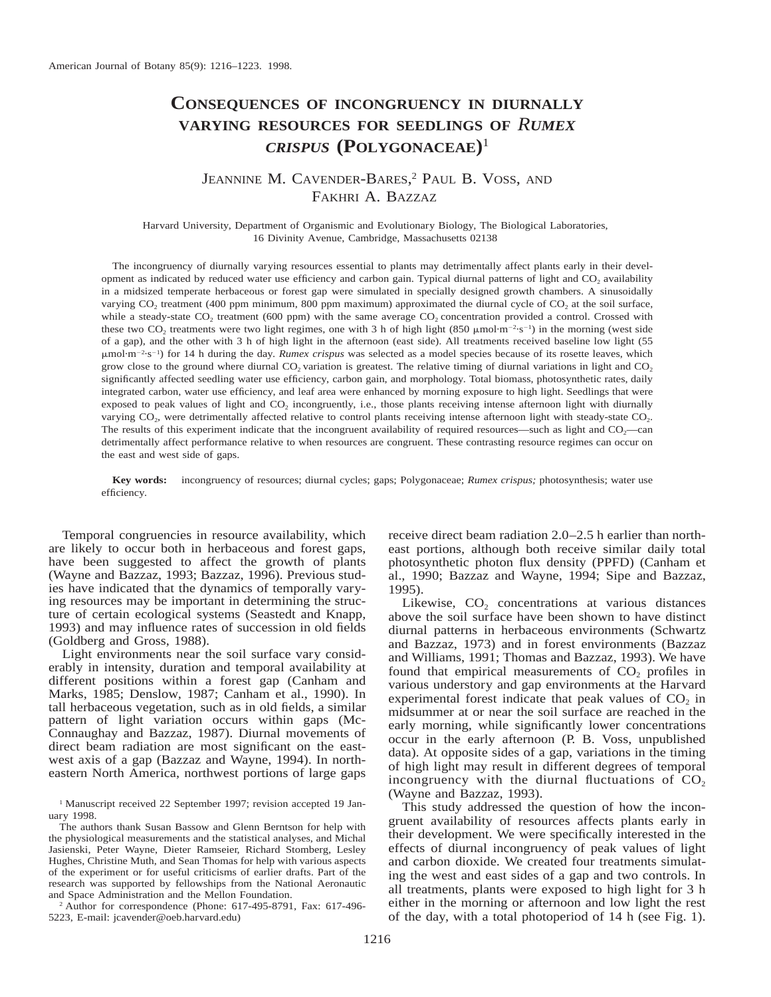# **CONSEQUENCES OF INCONGRUENCY IN DIURNALLY VARYING RESOURCES FOR SEEDLINGS OF** *RUMEX CRISPUS* **(POLYGONACEAE)**<sup>1</sup>

## JEANNINE M. CAVENDER-BARES,<sup>2</sup> PAUL B. VOSS, AND FAKHRI A. BAZZAZ

Harvard University, Department of Organismic and Evolutionary Biology, The Biological Laboratories, 16 Divinity Avenue, Cambridge, Massachusetts 02138

The incongruency of diurnally varying resources essential to plants may detrimentally affect plants early in their development as indicated by reduced water use efficiency and carbon gain. Typical diurnal patterns of light and CO<sub>2</sub> availability in a midsized temperate herbaceous or forest gap were simulated in specially designed growth chambers. A sinusoidally varying CO<sub>2</sub> treatment (400 ppm minimum, 800 ppm maximum) approximated the diurnal cycle of CO<sub>2</sub> at the soil surface, while a steady-state CO<sub>2</sub> treatment (600 ppm) with the same average CO<sub>2</sub> concentration provided a control. Crossed with these two CO<sub>2</sub> treatments were two light regimes, one with 3 h of high light (850  $\mu$ mol·m<sup>-2</sup>·s<sup>-1</sup>) in the morning (west side of a gap), and the other with 3 h of high light in the afternoon (east side). All treatments received baseline low light (55 mmol·m22·s21) for 14 h during the day. *Rumex crispus* was selected as a model species because of its rosette leaves, which grow close to the ground where diurnal  $CO<sub>2</sub>$  variation is greatest. The relative timing of diurnal variations in light and  $CO<sub>2</sub>$ significantly affected seedling water use efficiency, carbon gain, and morphology. Total biomass, photosynthetic rates, daily integrated carbon, water use efficiency, and leaf area were enhanced by morning exposure to high light. Seedlings that were exposed to peak values of light and  $CO<sub>2</sub>$  incongruently, i.e., those plants receiving intense afternoon light with diurnally varying  $CO<sub>2</sub>$ , were detrimentally affected relative to control plants receiving intense afternoon light with steady-state  $CO<sub>2</sub>$ . The results of this experiment indicate that the incongruent availability of required resources—such as light and  $CO<sub>2</sub>$ —can detrimentally affect performance relative to when resources are congruent. These contrasting resource regimes can occur on the east and west side of gaps.

**Key words:** incongruency of resources; diurnal cycles; gaps; Polygonaceae; *Rumex crispus;* photosynthesis; water use efficiency.

Temporal congruencies in resource availability, which are likely to occur both in herbaceous and forest gaps, have been suggested to affect the growth of plants (Wayne and Bazzaz, 1993; Bazzaz, 1996). Previous studies have indicated that the dynamics of temporally varying resources may be important in determining the structure of certain ecological systems (Seastedt and Knapp, 1993) and may influence rates of succession in old fields (Goldberg and Gross, 1988).

Light environments near the soil surface vary considerably in intensity, duration and temporal availability at different positions within a forest gap (Canham and Marks, 1985; Denslow, 1987; Canham et al., 1990). In tall herbaceous vegetation, such as in old fields, a similar pattern of light variation occurs within gaps (Mc-Connaughay and Bazzaz, 1987). Diurnal movements of direct beam radiation are most significant on the eastwest axis of a gap (Bazzaz and Wayne, 1994). In northeastern North America, northwest portions of large gaps

<sup>2</sup> Author for correspondence (Phone: 617-495-8791, Fax: 617-496- 5223, E-mail: jcavender@oeb.harvard.edu)

receive direct beam radiation 2.0–2.5 h earlier than northeast portions, although both receive similar daily total photosynthetic photon flux density (PPFD) (Canham et al., 1990; Bazzaz and Wayne, 1994; Sipe and Bazzaz, 1995).

Likewise,  $CO<sub>2</sub>$  concentrations at various distances above the soil surface have been shown to have distinct diurnal patterns in herbaceous environments (Schwartz and Bazzaz, 1973) and in forest environments (Bazzaz and Williams, 1991; Thomas and Bazzaz, 1993). We have found that empirical measurements of  $CO<sub>2</sub>$  profiles in various understory and gap environments at the Harvard experimental forest indicate that peak values of  $CO<sub>2</sub>$  in midsummer at or near the soil surface are reached in the early morning, while significantly lower concentrations occur in the early afternoon (P. B. Voss, unpublished data). At opposite sides of a gap, variations in the timing of high light may result in different degrees of temporal incongruency with the diurnal fluctuations of  $CO<sub>2</sub>$ (Wayne and Bazzaz, 1993).

This study addressed the question of how the incongruent availability of resources affects plants early in their development. We were specifically interested in the effects of diurnal incongruency of peak values of light and carbon dioxide. We created four treatments simulating the west and east sides of a gap and two controls. In all treatments, plants were exposed to high light for 3 h either in the morning or afternoon and low light the rest of the day, with a total photoperiod of 14 h (see Fig. 1).

<sup>&</sup>lt;sup>1</sup> Manuscript received 22 September 1997; revision accepted 19 January 1998.

The authors thank Susan Bassow and Glenn Berntson for help with the physiological measurements and the statistical analyses, and Michal Jasienski, Peter Wayne, Dieter Ramseier, Richard Stomberg, Lesley Hughes, Christine Muth, and Sean Thomas for help with various aspects of the experiment or for useful criticisms of earlier drafts. Part of the research was supported by fellowships from the National Aeronautic and Space Administration and the Mellon Foundation.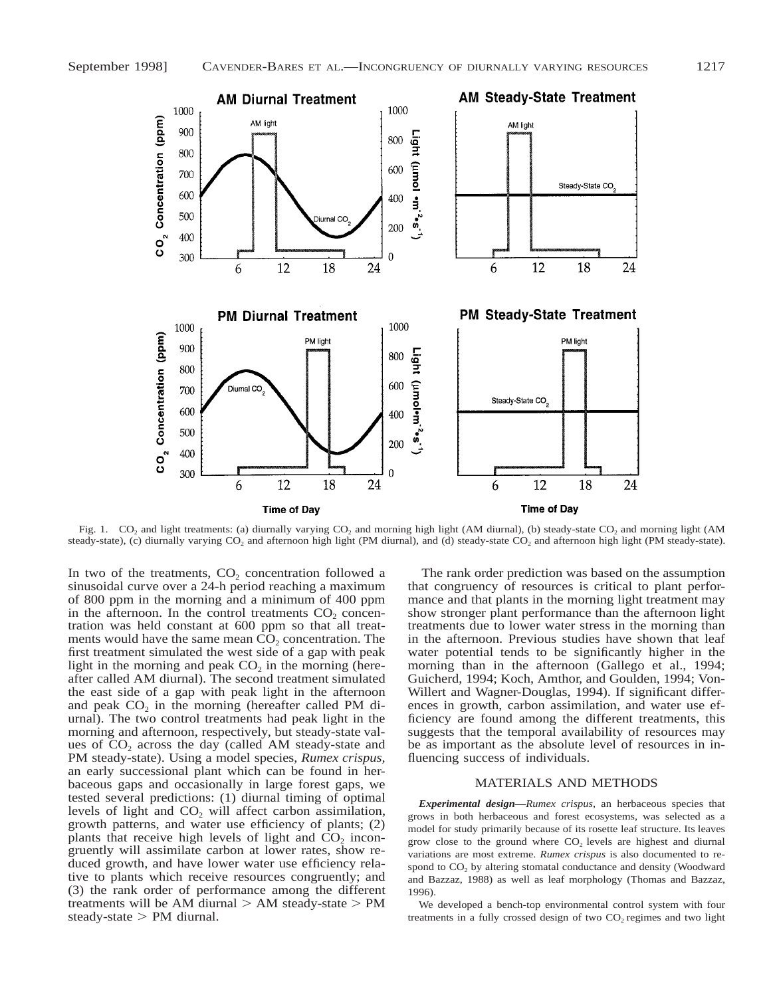

Fig. 1. CO<sub>2</sub> and light treatments: (a) diurnally varying CO<sub>2</sub> and morning high light (AM diurnal), (b) steady-state CO<sub>2</sub> and morning light (AM steady-state), (c) diurnally varying CO<sub>2</sub> and afternoon high light (PM diurnal), and (d) steady-state CO<sub>2</sub> and afternoon high light (PM steady-state).

In two of the treatments,  $CO<sub>2</sub>$  concentration followed a sinusoidal curve over a 24-h period reaching a maximum of 800 ppm in the morning and a minimum of 400 ppm in the afternoon. In the control treatments  $CO<sub>2</sub>$  concentration was held constant at 600 ppm so that all treatments would have the same mean  $\overline{CO}_2$  concentration. The first treatment simulated the west side of a gap with peak light in the morning and peak  $CO<sub>2</sub>$  in the morning (hereafter called AM diurnal). The second treatment simulated the east side of a gap with peak light in the afternoon and peak  $CO<sub>2</sub>$  in the morning (hereafter called PM diurnal). The two control treatments had peak light in the morning and afternoon, respectively, but steady-state values of  $CO<sub>2</sub>$  across the day (called AM steady-state and PM steady-state). Using a model species, *Rumex crispus,* an early successional plant which can be found in herbaceous gaps and occasionally in large forest gaps, we tested several predictions: (1) diurnal timing of optimal levels of light and  $CO<sub>2</sub>$  will affect carbon assimilation, growth patterns, and water use efficiency of plants; (2) plants that receive high levels of light and  $CO<sub>2</sub>$  incongruently will assimilate carbon at lower rates, show reduced growth, and have lower water use efficiency relative to plants which receive resources congruently; and (3) the rank order of performance among the different treatments will be AM diurnal  $> AM$  steady-state  $> PM$ steady-state  $>$  PM diurnal.

The rank order prediction was based on the assumption that congruency of resources is critical to plant performance and that plants in the morning light treatment may show stronger plant performance than the afternoon light treatments due to lower water stress in the morning than in the afternoon. Previous studies have shown that leaf water potential tends to be significantly higher in the morning than in the afternoon (Gallego et al., 1994; Guicherd, 1994; Koch, Amthor, and Goulden, 1994; Von-Willert and Wagner-Douglas, 1994). If significant differences in growth, carbon assimilation, and water use efficiency are found among the different treatments, this suggests that the temporal availability of resources may be as important as the absolute level of resources in influencing success of individuals.

#### MATERIALS AND METHODS

*Experimental design*—*Rumex crispus,* an herbaceous species that grows in both herbaceous and forest ecosystems, was selected as a model for study primarily because of its rosette leaf structure. Its leaves grow close to the ground where  $CO<sub>2</sub>$  levels are highest and diurnal variations are most extreme. *Rumex crispus* is also documented to respond to  $CO<sub>2</sub>$  by altering stomatal conductance and density (Woodward and Bazzaz, 1988) as well as leaf morphology (Thomas and Bazzaz, 1996).

We developed a bench-top environmental control system with four treatments in a fully crossed design of two  $CO<sub>2</sub>$  regimes and two light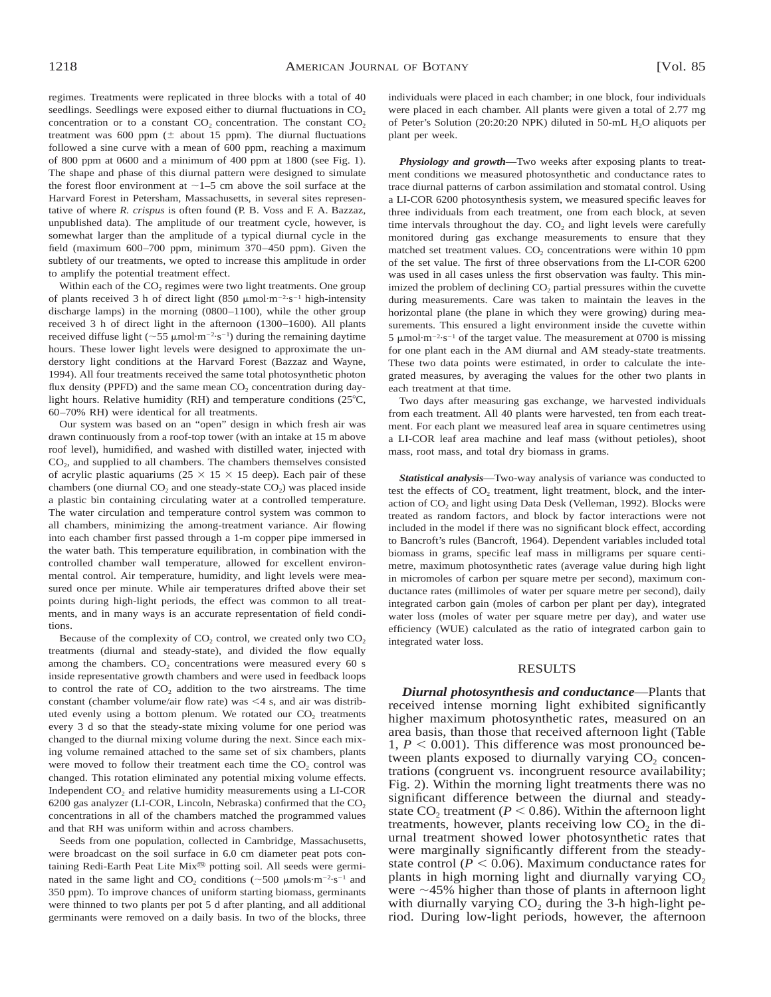regimes. Treatments were replicated in three blocks with a total of 40 seedlings. Seedlings were exposed either to diurnal fluctuations in CO<sub>2</sub> concentration or to a constant  $CO<sub>2</sub>$  concentration. The constant  $CO<sub>2</sub>$ treatment was 600 ppm  $(\pm$  about 15 ppm). The diurnal fluctuations followed a sine curve with a mean of 600 ppm, reaching a maximum of 800 ppm at 0600 and a minimum of 400 ppm at 1800 (see Fig. 1). The shape and phase of this diurnal pattern were designed to simulate the forest floor environment at  $\sim$  1–5 cm above the soil surface at the Harvard Forest in Petersham, Massachusetts, in several sites representative of where *R. crispus* is often found (P. B. Voss and F. A. Bazzaz, unpublished data). The amplitude of our treatment cycle, however, is somewhat larger than the amplitude of a typical diurnal cycle in the field (maximum 600–700 ppm, minimum 370–450 ppm). Given the subtlety of our treatments, we opted to increase this amplitude in order to amplify the potential treatment effect.

Within each of the CO<sub>2</sub> regimes were two light treatments. One group of plants received 3 h of direct light  $(850 \mu mol·m<sup>-2</sup>·s<sup>-1</sup>$  high-intensity discharge lamps) in the morning (0800–1100), while the other group received 3 h of direct light in the afternoon (1300–1600). All plants received diffuse light ( $\sim$  55  $\mu$ mol·m<sup>-2</sup>·s<sup>-1</sup>) during the remaining daytime hours. These lower light levels were designed to approximate the understory light conditions at the Harvard Forest (Bazzaz and Wayne, 1994). All four treatments received the same total photosynthetic photon flux density (PPFD) and the same mean  $CO<sub>2</sub>$  concentration during daylight hours. Relative humidity (RH) and temperature conditions ( $25^{\circ}$ C, 60–70% RH) were identical for all treatments.

Our system was based on an "open" design in which fresh air was drawn continuously from a roof-top tower (with an intake at 15 m above roof level), humidified, and washed with distilled water, injected with  $CO<sub>2</sub>$ , and supplied to all chambers. The chambers themselves consisted of acrylic plastic aquariums ( $25 \times 15 \times 15$  deep). Each pair of these chambers (one diurnal  $CO<sub>2</sub>$  and one steady-state  $CO<sub>2</sub>$ ) was placed inside a plastic bin containing circulating water at a controlled temperature. The water circulation and temperature control system was common to all chambers, minimizing the among-treatment variance. Air flowing into each chamber first passed through a 1-m copper pipe immersed in the water bath. This temperature equilibration, in combination with the controlled chamber wall temperature, allowed for excellent environmental control. Air temperature, humidity, and light levels were measured once per minute. While air temperatures drifted above their set points during high-light periods, the effect was common to all treatments, and in many ways is an accurate representation of field conditions.

Because of the complexity of  $CO<sub>2</sub>$  control, we created only two  $CO<sub>2</sub>$ treatments (diurnal and steady-state), and divided the flow equally among the chambers.  $CO<sub>2</sub>$  concentrations were measured every 60 s inside representative growth chambers and were used in feedback loops to control the rate of  $CO<sub>2</sub>$  addition to the two airstreams. The time constant (chamber volume/air flow rate) was  $\leq 4$  s, and air was distributed evenly using a bottom plenum. We rotated our  $CO<sub>2</sub>$  treatments every 3 d so that the steady-state mixing volume for one period was changed to the diurnal mixing volume during the next. Since each mixing volume remained attached to the same set of six chambers, plants were moved to follow their treatment each time the CO<sub>2</sub> control was changed. This rotation eliminated any potential mixing volume effects. Independent  $CO<sub>2</sub>$  and relative humidity measurements using a LI-COR 6200 gas analyzer (LI-COR, Lincoln, Nebraska) confirmed that the  $CO<sub>2</sub>$ concentrations in all of the chambers matched the programmed values and that RH was uniform within and across chambers.

Seeds from one population, collected in Cambridge, Massachusetts, were broadcast on the soil surface in 6.0 cm diameter peat pots containing Redi-Earth Peat Lite Mix® potting soil. All seeds were germinated in the same light and  $CO_2$  conditions ( $\sim$ 500  $\mu$ mols·m<sup>-2</sup>·s<sup>-1</sup> and 350 ppm). To improve chances of uniform starting biomass, germinants were thinned to two plants per pot 5 d after planting, and all additional germinants were removed on a daily basis. In two of the blocks, three individuals were placed in each chamber; in one block, four individuals were placed in each chamber. All plants were given a total of 2.77 mg of Peter's Solution (20:20:20 NPK) diluted in 50-mL H<sub>2</sub>O aliquots per plant per week.

*Physiology and growth*—Two weeks after exposing plants to treatment conditions we measured photosynthetic and conductance rates to trace diurnal patterns of carbon assimilation and stomatal control. Using a LI-COR 6200 photosynthesis system, we measured specific leaves for three individuals from each treatment, one from each block, at seven time intervals throughout the day.  $CO<sub>2</sub>$  and light levels were carefully monitored during gas exchange measurements to ensure that they matched set treatment values.  $CO<sub>2</sub>$  concentrations were within 10 ppm of the set value. The first of three observations from the LI-COR 6200 was used in all cases unless the first observation was faulty. This minimized the problem of declining  $CO<sub>2</sub>$  partial pressures within the cuvette during measurements. Care was taken to maintain the leaves in the horizontal plane (the plane in which they were growing) during measurements. This ensured a light environment inside the cuvette within  $5 \mu$ mol·m<sup>-2</sup>·s<sup>-1</sup> of the target value. The measurement at 0700 is missing for one plant each in the AM diurnal and AM steady-state treatments. These two data points were estimated, in order to calculate the integrated measures, by averaging the values for the other two plants in each treatment at that time.

Two days after measuring gas exchange, we harvested individuals from each treatment. All 40 plants were harvested, ten from each treatment. For each plant we measured leaf area in square centimetres using a LI-COR leaf area machine and leaf mass (without petioles), shoot mass, root mass, and total dry biomass in grams.

*Statistical analysis*—Two-way analysis of variance was conducted to test the effects of  $CO<sub>2</sub>$  treatment, light treatment, block, and the interaction of  $CO<sub>2</sub>$  and light using Data Desk (Velleman, 1992). Blocks were treated as random factors, and block by factor interactions were not included in the model if there was no significant block effect, according to Bancroft's rules (Bancroft, 1964). Dependent variables included total biomass in grams, specific leaf mass in milligrams per square centimetre, maximum photosynthetic rates (average value during high light in micromoles of carbon per square metre per second), maximum conductance rates (millimoles of water per square metre per second), daily integrated carbon gain (moles of carbon per plant per day), integrated water loss (moles of water per square metre per day), and water use efficiency (WUE) calculated as the ratio of integrated carbon gain to integrated water loss.

#### RESULTS

*Diurnal photosynthesis and conductance*—Plants that received intense morning light exhibited significantly higher maximum photosynthetic rates, measured on an area basis, than those that received afternoon light (Table 1,  $P < 0.001$ ). This difference was most pronounced between plants exposed to diurnally varying  $CO<sub>2</sub>$  concentrations (congruent vs. incongruent resource availability; Fig. 2). Within the morning light treatments there was no significant difference between the diurnal and steadystate  $CO<sub>2</sub>$  treatment ( $P < 0.86$ ). Within the afternoon light treatments, however, plants receiving low  $CO<sub>2</sub>$  in the diurnal treatment showed lower photosynthetic rates that were marginally significantly different from the steadystate control ( $P < 0.06$ ). Maximum conductance rates for plants in high morning light and diurnally varying  $CO<sub>2</sub>$ were  $\sim$ 45% higher than those of plants in afternoon light with diurnally varying  $CO<sub>2</sub>$  during the 3-h high-light period. During low-light periods, however, the afternoon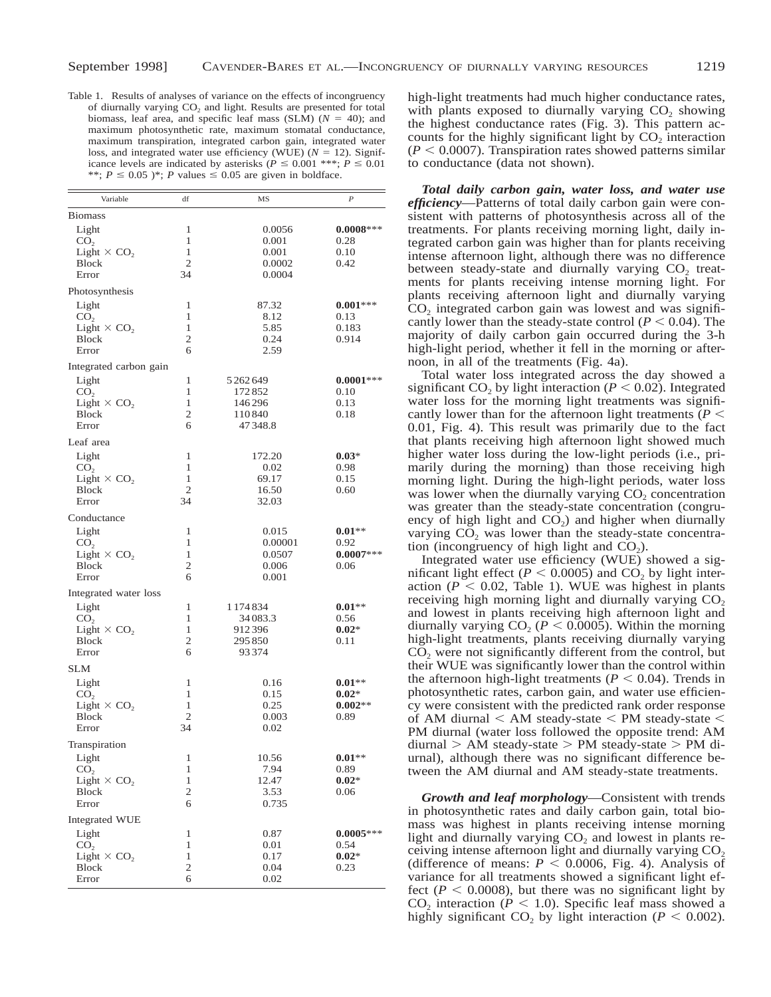Table 1. Results of analyses of variance on the effects of incongruency of diurnally varying  $CO<sub>2</sub>$  and light. Results are presented for total biomass, leaf area, and specific leaf mass (SLM)  $(N = 40)$ ; and maximum photosynthetic rate, maximum stomatal conductance, maximum transpiration, integrated carbon gain, integrated water loss, and integrated water use efficiency (WUE)  $(N = 12)$ . Significance levels are indicated by asterisks ( $P \le 0.001$  \*\*\*;  $P \le 0.01$ \*\*;  $P \le 0.05$  )\*; *P* values  $\le 0.05$  are given in boldface.

| <b>Biomass</b><br>1<br>$0.0008***$<br>Light<br>0.0056<br>1<br>CO <sub>2</sub><br>0.001<br>0.28<br>1<br>Light $\times$ CO <sub>2</sub><br>0.001<br>0.10<br>$\mathfrak{2}$<br><b>Block</b><br>0.0002<br>0.42<br>Error<br>34<br>0.0004<br>Photosynthesis<br>87.32<br>Light<br>1<br>$0.001***$<br>1<br>CO <sub>2</sub><br>8.12<br>0.13<br>1<br>Light $\times$ CO <sub>2</sub><br>5.85<br>0.183<br>2<br>0.24<br><b>Block</b><br>0.914<br>2.59<br>Error<br>6<br>Integrated carbon gain<br>$0.0001***$<br>Light<br>1<br>5 2 6 2 6 4 9<br>1<br>CO <sub>2</sub><br>172852<br>0.10<br>Light $\times$ CO <sub>2</sub><br>1<br>146296<br>0.13<br>2<br><b>Block</b><br>110840<br>0.18 |  |
|--------------------------------------------------------------------------------------------------------------------------------------------------------------------------------------------------------------------------------------------------------------------------------------------------------------------------------------------------------------------------------------------------------------------------------------------------------------------------------------------------------------------------------------------------------------------------------------------------------------------------------------------------------------------------|--|
|                                                                                                                                                                                                                                                                                                                                                                                                                                                                                                                                                                                                                                                                          |  |
|                                                                                                                                                                                                                                                                                                                                                                                                                                                                                                                                                                                                                                                                          |  |
|                                                                                                                                                                                                                                                                                                                                                                                                                                                                                                                                                                                                                                                                          |  |
|                                                                                                                                                                                                                                                                                                                                                                                                                                                                                                                                                                                                                                                                          |  |
|                                                                                                                                                                                                                                                                                                                                                                                                                                                                                                                                                                                                                                                                          |  |
|                                                                                                                                                                                                                                                                                                                                                                                                                                                                                                                                                                                                                                                                          |  |
|                                                                                                                                                                                                                                                                                                                                                                                                                                                                                                                                                                                                                                                                          |  |
|                                                                                                                                                                                                                                                                                                                                                                                                                                                                                                                                                                                                                                                                          |  |
|                                                                                                                                                                                                                                                                                                                                                                                                                                                                                                                                                                                                                                                                          |  |
|                                                                                                                                                                                                                                                                                                                                                                                                                                                                                                                                                                                                                                                                          |  |
|                                                                                                                                                                                                                                                                                                                                                                                                                                                                                                                                                                                                                                                                          |  |
|                                                                                                                                                                                                                                                                                                                                                                                                                                                                                                                                                                                                                                                                          |  |
|                                                                                                                                                                                                                                                                                                                                                                                                                                                                                                                                                                                                                                                                          |  |
|                                                                                                                                                                                                                                                                                                                                                                                                                                                                                                                                                                                                                                                                          |  |
|                                                                                                                                                                                                                                                                                                                                                                                                                                                                                                                                                                                                                                                                          |  |
|                                                                                                                                                                                                                                                                                                                                                                                                                                                                                                                                                                                                                                                                          |  |
| 47348.8<br>Error<br>6                                                                                                                                                                                                                                                                                                                                                                                                                                                                                                                                                                                                                                                    |  |
| Leaf area                                                                                                                                                                                                                                                                                                                                                                                                                                                                                                                                                                                                                                                                |  |
| Light<br>$\mathbf{1}$<br>172.20<br>$0.03*$                                                                                                                                                                                                                                                                                                                                                                                                                                                                                                                                                                                                                               |  |
| 1<br>CO <sub>2</sub><br>0.02<br>0.98                                                                                                                                                                                                                                                                                                                                                                                                                                                                                                                                                                                                                                     |  |
| 1<br>Light $\times$ CO <sub>2</sub><br>69.17<br>0.15                                                                                                                                                                                                                                                                                                                                                                                                                                                                                                                                                                                                                     |  |
| $\overline{c}$<br><b>Block</b><br>16.50<br>0.60                                                                                                                                                                                                                                                                                                                                                                                                                                                                                                                                                                                                                          |  |
| 34<br>Error<br>32.03                                                                                                                                                                                                                                                                                                                                                                                                                                                                                                                                                                                                                                                     |  |
| Conductance                                                                                                                                                                                                                                                                                                                                                                                                                                                                                                                                                                                                                                                              |  |
| Light<br>1<br>0.015<br>$0.01**$                                                                                                                                                                                                                                                                                                                                                                                                                                                                                                                                                                                                                                          |  |
| 1<br>CO <sub>2</sub><br>0.00001<br>0.92                                                                                                                                                                                                                                                                                                                                                                                                                                                                                                                                                                                                                                  |  |
| 1<br>$0.0007***$<br>Light $\times$ CO <sub>2</sub><br>0.0507                                                                                                                                                                                                                                                                                                                                                                                                                                                                                                                                                                                                             |  |
| 2<br><b>Block</b><br>0.006<br>0.06                                                                                                                                                                                                                                                                                                                                                                                                                                                                                                                                                                                                                                       |  |
| Error<br>6<br>0.001                                                                                                                                                                                                                                                                                                                                                                                                                                                                                                                                                                                                                                                      |  |
| Integrated water loss                                                                                                                                                                                                                                                                                                                                                                                                                                                                                                                                                                                                                                                    |  |
| 1<br>Light<br>1 174 834<br>$0.01**$                                                                                                                                                                                                                                                                                                                                                                                                                                                                                                                                                                                                                                      |  |
| 1<br>CO <sub>2</sub><br>34083.3<br>0.56                                                                                                                                                                                                                                                                                                                                                                                                                                                                                                                                                                                                                                  |  |
| 1<br>Light $\times$ CO <sub>2</sub><br>912396<br>$0.02*$                                                                                                                                                                                                                                                                                                                                                                                                                                                                                                                                                                                                                 |  |
| <b>Block</b><br>2<br>295850<br>0.11<br>93374<br>Error<br>6                                                                                                                                                                                                                                                                                                                                                                                                                                                                                                                                                                                                               |  |
|                                                                                                                                                                                                                                                                                                                                                                                                                                                                                                                                                                                                                                                                          |  |
| <b>SLM</b>                                                                                                                                                                                                                                                                                                                                                                                                                                                                                                                                                                                                                                                               |  |
| Light<br>$\mathbf{1}$<br>0.16<br>$0.01**$                                                                                                                                                                                                                                                                                                                                                                                                                                                                                                                                                                                                                                |  |
| 1<br>CO <sub>2</sub><br>0.15<br>$0.02*$<br>$0.002**$                                                                                                                                                                                                                                                                                                                                                                                                                                                                                                                                                                                                                     |  |
| Light $\times$ CO <sub>2</sub><br>1<br>0.25<br>2<br><b>Block</b><br>0.003<br>0.89                                                                                                                                                                                                                                                                                                                                                                                                                                                                                                                                                                                        |  |
| 34<br>0.02<br>Error                                                                                                                                                                                                                                                                                                                                                                                                                                                                                                                                                                                                                                                      |  |
|                                                                                                                                                                                                                                                                                                                                                                                                                                                                                                                                                                                                                                                                          |  |
| Transpiration<br>Light<br>1<br>10.56<br>$0.01**$                                                                                                                                                                                                                                                                                                                                                                                                                                                                                                                                                                                                                         |  |
| CO <sub>2</sub><br>1<br>7.94<br>0.89                                                                                                                                                                                                                                                                                                                                                                                                                                                                                                                                                                                                                                     |  |
| Light $\times$ CO <sub>2</sub><br>1<br>$0.02*$<br>12.47                                                                                                                                                                                                                                                                                                                                                                                                                                                                                                                                                                                                                  |  |
| $\mathfrak{2}$<br><b>Block</b><br>3.53<br>0.06                                                                                                                                                                                                                                                                                                                                                                                                                                                                                                                                                                                                                           |  |
| 6<br>0.735<br>Error                                                                                                                                                                                                                                                                                                                                                                                                                                                                                                                                                                                                                                                      |  |
| Integrated WUE                                                                                                                                                                                                                                                                                                                                                                                                                                                                                                                                                                                                                                                           |  |
| Light<br>1<br>$0.0005***$<br>0.87                                                                                                                                                                                                                                                                                                                                                                                                                                                                                                                                                                                                                                        |  |
| 1<br>CO <sub>2</sub><br>0.01<br>0.54                                                                                                                                                                                                                                                                                                                                                                                                                                                                                                                                                                                                                                     |  |
| Light $\times$ CO <sub>2</sub><br>1<br>0.17<br>$0.02*$                                                                                                                                                                                                                                                                                                                                                                                                                                                                                                                                                                                                                   |  |
| $\mathfrak{2}$<br>0.04<br>Block<br>0.23                                                                                                                                                                                                                                                                                                                                                                                                                                                                                                                                                                                                                                  |  |
| 6<br>0.02<br>Error                                                                                                                                                                                                                                                                                                                                                                                                                                                                                                                                                                                                                                                       |  |

high-light treatments had much higher conductance rates, with plants exposed to diurnally varying  $CO<sub>2</sub>$  showing the highest conductance rates (Fig. 3). This pattern accounts for the highly significant light by  $CO<sub>2</sub>$  interaction  $(P < 0.0007)$ . Transpiration rates showed patterns similar to conductance (data not shown).

*Total daily carbon gain, water loss, and water use efficiency*—Patterns of total daily carbon gain were consistent with patterns of photosynthesis across all of the treatments. For plants receiving morning light, daily integrated carbon gain was higher than for plants receiving intense afternoon light, although there was no difference between steady-state and diurnally varying  $CO<sub>2</sub>$  treatments for plants receiving intense morning light. For plants receiving afternoon light and diurnally varying  $CO<sub>2</sub>$  integrated carbon gain was lowest and was significantly lower than the steady-state control ( $P < 0.04$ ). The majority of daily carbon gain occurred during the 3-h high-light period, whether it fell in the morning or afternoon, in all of the treatments (Fig. 4a).

Total water loss integrated across the day showed a significant CO<sub>2</sub> by light interaction ( $P < 0.02$ ). Integrated water loss for the morning light treatments was significantly lower than for the afternoon light treatments ( $P \leq$ 0.01, Fig. 4). This result was primarily due to the fact that plants receiving high afternoon light showed much higher water loss during the low-light periods (i.e., primarily during the morning) than those receiving high morning light. During the high-light periods, water loss was lower when the diurnally varying  $CO<sub>2</sub>$  concentration was greater than the steady-state concentration (congruency of high light and  $CO<sub>2</sub>$ ) and higher when diurnally varying  $CO<sub>2</sub>$  was lower than the steady-state concentration (incongruency of high light and  $CO<sub>2</sub>$ ).

Integrated water use efficiency (WUE) showed a significant light effect ( $P < 0.0005$ ) and CO<sub>2</sub> by light interaction ( $P < 0.02$ , Table 1). WUE was highest in plants receiving high morning light and diurnally varying  $CO<sub>2</sub>$ and lowest in plants receiving high afternoon light and diurnally varying  $CO<sub>2</sub>$  ( $P < 0.0005$ ). Within the morning high-light treatments, plants receiving diurnally varying CO<sub>2</sub> were not significantly different from the control, but their WUE was significantly lower than the control within the afternoon high-light treatments ( $P < 0.04$ ). Trends in photosynthetic rates, carbon gain, and water use efficiency were consistent with the predicted rank order response of AM diurnal  $\lt$  AM steady-state  $\lt$  PM steady-state  $\lt$ PM diurnal (water loss followed the opposite trend: AM  $\text{diumal} > \text{AM steady-state} > \text{PM steady-state} > \text{PM di}$ urnal), although there was no significant difference between the AM diurnal and AM steady-state treatments.

*Growth and leaf morphology*—Consistent with trends in photosynthetic rates and daily carbon gain, total biomass was highest in plants receiving intense morning light and diurnally varying  $CO<sub>2</sub>$  and lowest in plants receiving intense afternoon light and diurnally varying  $CO<sub>2</sub>$ (difference of means:  $P < 0.0006$ , Fig. 4). Analysis of variance for all treatments showed a significant light effect ( $P < 0.0008$ ), but there was no significant light by CO<sub>2</sub> interaction ( $P < 1.0$ ). Specific leaf mass showed a highly significant CO<sub>2</sub> by light interaction ( $P < 0.002$ ).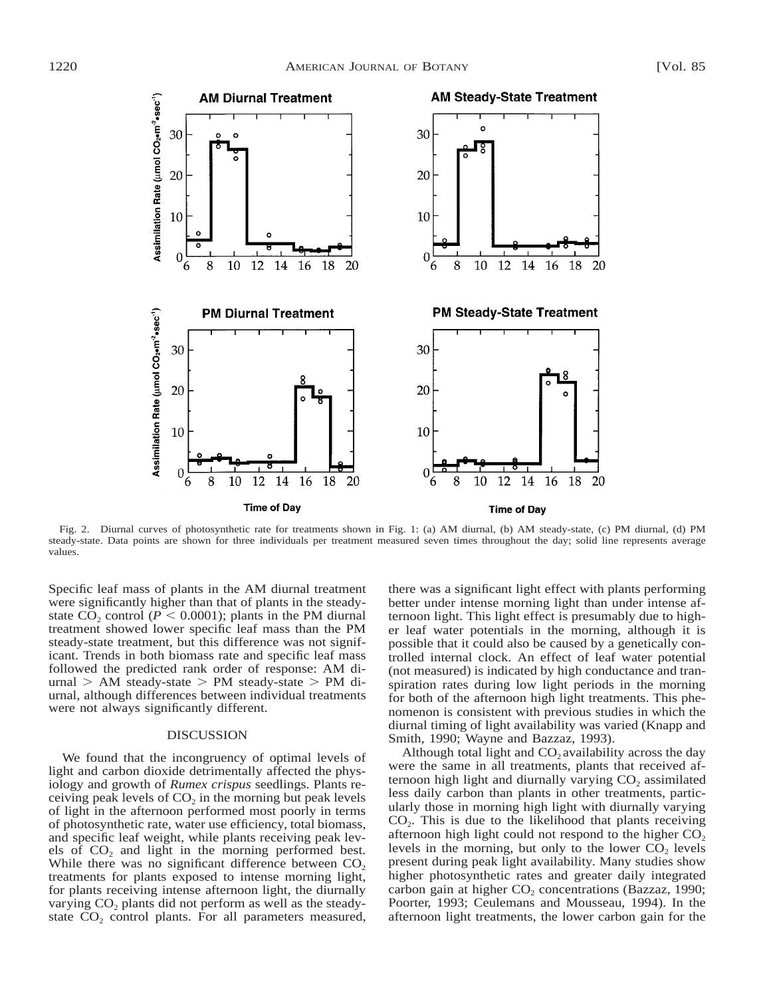

Fig. 2. Diurnal curves of photosynthetic rate for treatments shown in Fig. 1: (a) AM diurnal, (b) AM steady-state, (c) PM diurnal, (d) PM steady-state. Data points are shown for three individuals per treatment measured seven times throughout the day; solid line represents average values.

Specific leaf mass of plants in the AM diurnal treatment were significantly higher than that of plants in the steadystate  $CO_2$  control ( $P < 0.0001$ ); plants in the PM diurnal treatment showed lower specific leaf mass than the PM steady-state treatment, but this difference was not significant. Trends in both biomass rate and specific leaf mass followed the predicted rank order of response: AM di $urnal$  > AM steady-state > PM steady-state > PM diurnal, although differences between individual treatments were not always significantly different.

### DISCUSSION

We found that the incongruency of optimal levels of light and carbon dioxide detrimentally affected the physiology and growth of *Rumex crispus* seedlings. Plants receiving peak levels of  $CO<sub>2</sub>$  in the morning but peak levels of light in the afternoon performed most poorly in terms of photosynthetic rate, water use efficiency, total biomass, and specific leaf weight, while plants receiving peak levels of  $CO<sub>2</sub>$  and light in the morning performed best. While there was no significant difference between  $CO<sub>2</sub>$ treatments for plants exposed to intense morning light, for plants receiving intense afternoon light, the diurnally varying  $CO<sub>2</sub>$  plants did not perform as well as the steadystate  $CO<sub>2</sub>$  control plants. For all parameters measured, there was a significant light effect with plants performing better under intense morning light than under intense afternoon light. This light effect is presumably due to higher leaf water potentials in the morning, although it is possible that it could also be caused by a genetically controlled internal clock. An effect of leaf water potential (not measured) is indicated by high conductance and transpiration rates during low light periods in the morning for both of the afternoon high light treatments. This phenomenon is consistent with previous studies in which the diurnal timing of light availability was varied (Knapp and Smith, 1990; Wayne and Bazzaz, 1993).

Although total light and  $CO<sub>2</sub>$  availability across the day were the same in all treatments, plants that received afternoon high light and diurnally varying  $CO<sub>2</sub>$  assimilated less daily carbon than plants in other treatments, particularly those in morning high light with diurnally varying  $CO<sub>2</sub>$ . This is due to the likelihood that plants receiving afternoon high light could not respond to the higher  $CO<sub>2</sub>$ levels in the morning, but only to the lower  $CO<sub>2</sub>$  levels present during peak light availability. Many studies show higher photosynthetic rates and greater daily integrated carbon gain at higher  $CO<sub>2</sub>$  concentrations (Bazzaz, 1990; Poorter, 1993; Ceulemans and Mousseau, 1994). In the afternoon light treatments, the lower carbon gain for the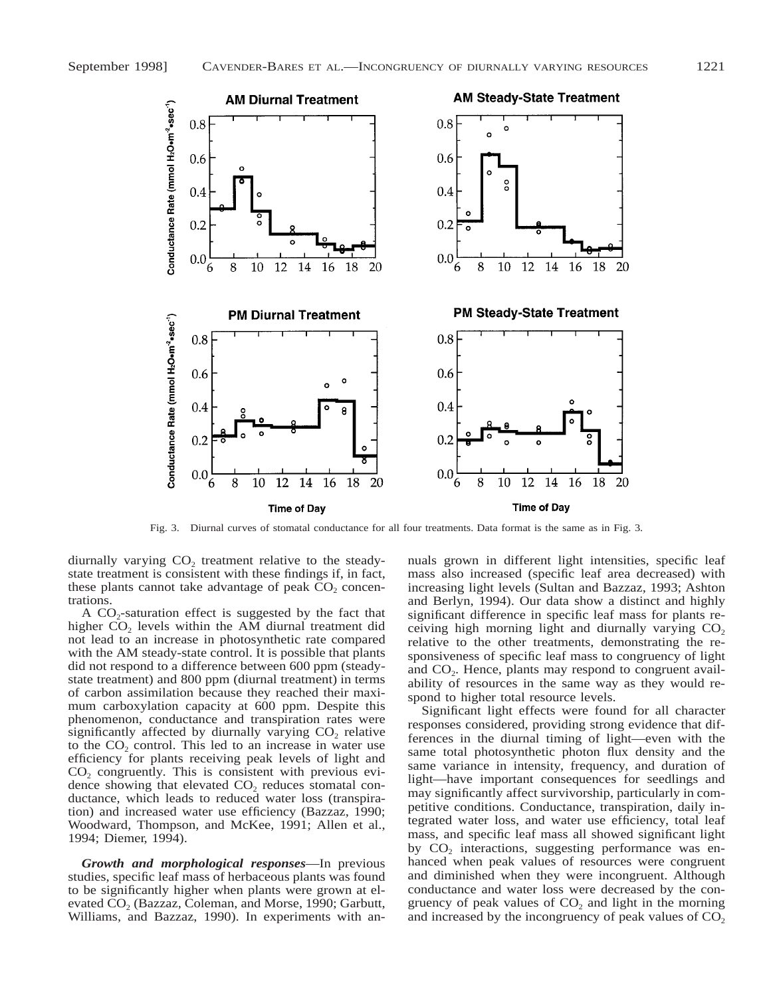

Fig. 3. Diurnal curves of stomatal conductance for all four treatments. Data format is the same as in Fig. 3.

diurnally varying  $CO<sub>2</sub>$  treatment relative to the steadystate treatment is consistent with these findings if, in fact, these plants cannot take advantage of peak  $CO<sub>2</sub>$  concentrations.

A  $CO_2$ -saturation effect is suggested by the fact that higher  $CO<sub>2</sub>$  levels within the AM diurnal treatment did not lead to an increase in photosynthetic rate compared with the AM steady-state control. It is possible that plants did not respond to a difference between 600 ppm (steadystate treatment) and 800 ppm (diurnal treatment) in terms of carbon assimilation because they reached their maximum carboxylation capacity at 600 ppm. Despite this phenomenon, conductance and transpiration rates were significantly affected by diurnally varying  $CO<sub>2</sub>$  relative to the  $CO<sub>2</sub>$  control. This led to an increase in water use efficiency for plants receiving peak levels of light and  $CO<sub>2</sub>$  congruently. This is consistent with previous evidence showing that elevated  $CO<sub>2</sub>$  reduces stomatal conductance, which leads to reduced water loss (transpiration) and increased water use efficiency (Bazzaz, 1990; Woodward, Thompson, and McKee, 1991; Allen et al., 1994; Diemer, 1994).

*Growth and morphological responses*—In previous studies, specific leaf mass of herbaceous plants was found to be significantly higher when plants were grown at elevated CO<sub>2</sub> (Bazzaz, Coleman, and Morse, 1990; Garbutt, Williams, and Bazzaz, 1990). In experiments with an-

nuals grown in different light intensities, specific leaf mass also increased (specific leaf area decreased) with increasing light levels (Sultan and Bazzaz, 1993; Ashton and Berlyn, 1994). Our data show a distinct and highly significant difference in specific leaf mass for plants receiving high morning light and diurnally varying  $CO<sub>2</sub>$ relative to the other treatments, demonstrating the responsiveness of specific leaf mass to congruency of light and  $CO<sub>2</sub>$ . Hence, plants may respond to congruent availability of resources in the same way as they would respond to higher total resource levels.

Significant light effects were found for all character responses considered, providing strong evidence that differences in the diurnal timing of light—even with the same total photosynthetic photon flux density and the same variance in intensity, frequency, and duration of light—have important consequences for seedlings and may significantly affect survivorship, particularly in competitive conditions. Conductance, transpiration, daily integrated water loss, and water use efficiency, total leaf mass, and specific leaf mass all showed significant light by  $CO<sub>2</sub>$  interactions, suggesting performance was enhanced when peak values of resources were congruent and diminished when they were incongruent. Although conductance and water loss were decreased by the congruency of peak values of  $CO<sub>2</sub>$  and light in the morning and increased by the incongruency of peak values of  $CO<sub>2</sub>$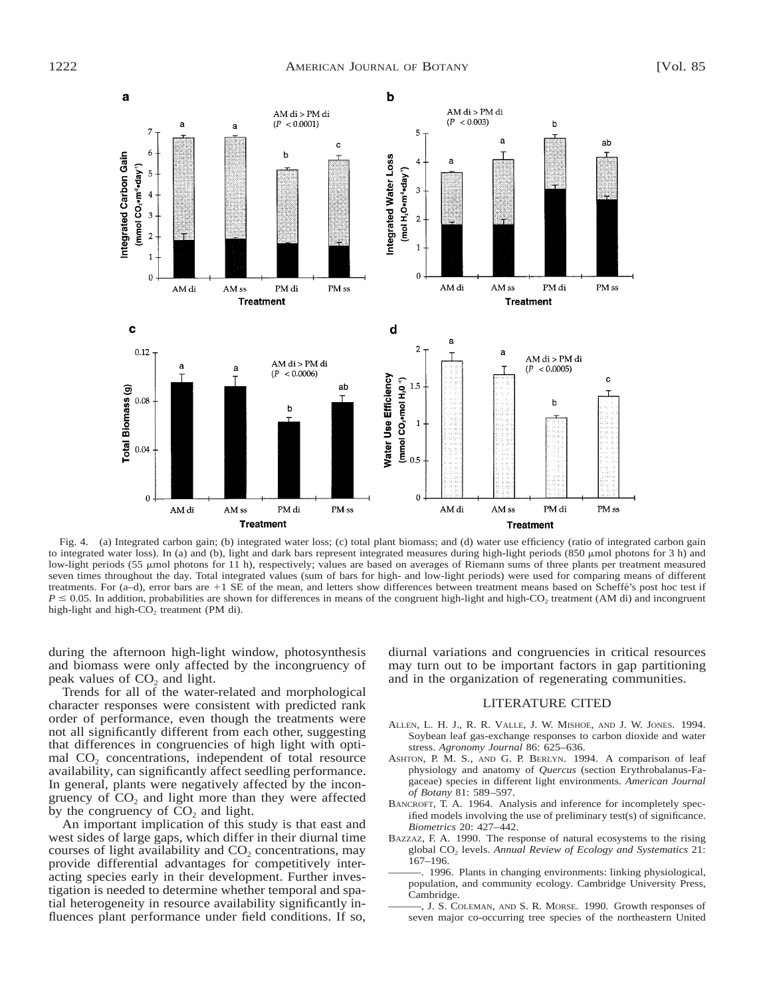

Fig. 4. (a) Integrated carbon gain; (b) integrated water loss; (c) total plant biomass; and (d) water use efficiency (ratio of integrated carbon gain to integrated water loss). In (a) and (b), light and dark bars represent integrated measures during high-light periods (850 µmol photons for 3 h) and low-light periods (55 µmol photons for 11 h), respectively; values are based on averages of Riemann sums of three plants per treatment measured seven times throughout the day. Total integrated values (sum of bars for high- and low-light periods) were used for comparing means of different treatments. For (a-d), error bars are +1 SE of the mean, and letters show differences between treatment means based on Scheffé's post hoc test if  $P \le 0.05$ . In addition, probabilities are shown for differences in means of the congruent high-light and high-CO<sub>2</sub> treatment (AM di) and incongruent high-light and high-CO<sub>2</sub> treatment (PM di).

during the afternoon high-light window, photosynthesis and biomass were only affected by the incongruency of peak values of  $CO<sub>2</sub>$  and light.

Trends for all of the water-related and morphological character responses were consistent with predicted rank order of performance, even though the treatments were not all significantly different from each other, suggesting that differences in congruencies of high light with optimal CO<sub>2</sub> concentrations, independent of total resource availability, can significantly affect seedling performance. In general, plants were negatively affected by the incongruency of  $CO<sub>2</sub>$  and light more than they were affected by the congruency of  $CO<sub>2</sub>$  and light.

An important implication of this study is that east and west sides of large gaps, which differ in their diurnal time courses of light availability and  $CO<sub>2</sub>$  concentrations, may provide differential advantages for competitively interacting species early in their development. Further investigation is needed to determine whether temporal and spatial heterogeneity in resource availability significantly influences plant performance under field conditions. If so, diurnal variations and congruencies in critical resources may turn out to be important factors in gap partitioning and in the organization of regenerating communities.

#### LITERATURE CITED

- ALLEN, L. H. J., R. R. VALLE, J. W. MISHOE, AND J. W. JONES. 1994. Soybean leaf gas-exchange responses to carbon dioxide and water stress. *Agronomy Journal* 86: 625–636.
- ASHTON, P. M. S., AND G. P. BERLYN. 1994. A comparison of leaf physiology and anatomy of *Quercus* (section Erythrobalanus-Fagaceae) species in different light environments. *American Journal of Botany* 81: 589–597.
- BANCROFT, T. A. 1964. Analysis and inference for incompletely specified models involving the use of preliminary test(s) of significance. *Biometrics* 20: 427–442.
- BAZZAZ, F. A. 1990. The response of natural ecosystems to the rising global CO2 levels. *Annual Review of Ecology and Systematics* 21: 167–196.
- 1996. Plants in changing environments: linking physiological, population, and community ecology. Cambridge University Press, Cambridge.
- , J. S. COLEMAN, AND S. R. MORSE. 1990. Growth responses of seven major co-occurring tree species of the northeastern United